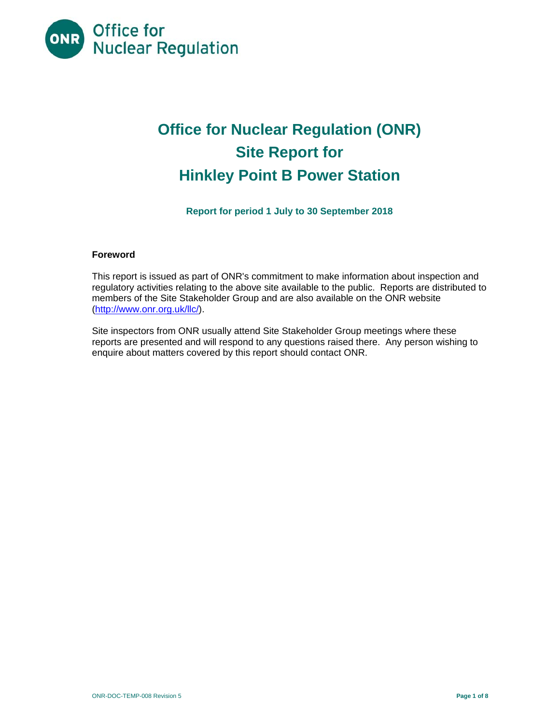<span id="page-0-0"></span>

# **Office for Nuclear Regulation (ONR) Site Report for Hinkley Point B Power Station**

**Report for period 1 July to 30 September 2018** 

# **Foreword**

This report is issued as part of ONR's commitment to make information about inspection and regulatory activities relating to the above site available to the public. Reports are distributed to members of the Site Stakeholder Group and are also available on the ONR website [\(http://www.onr.org.uk/llc/](http://www.onr.org.uk/llc)).

Site inspectors from ONR usually attend Site Stakeholder Group meetings where these reports are presented and will respond to any questions raised there. Any person wishing to enquire about matters covered by this report should contact ONR.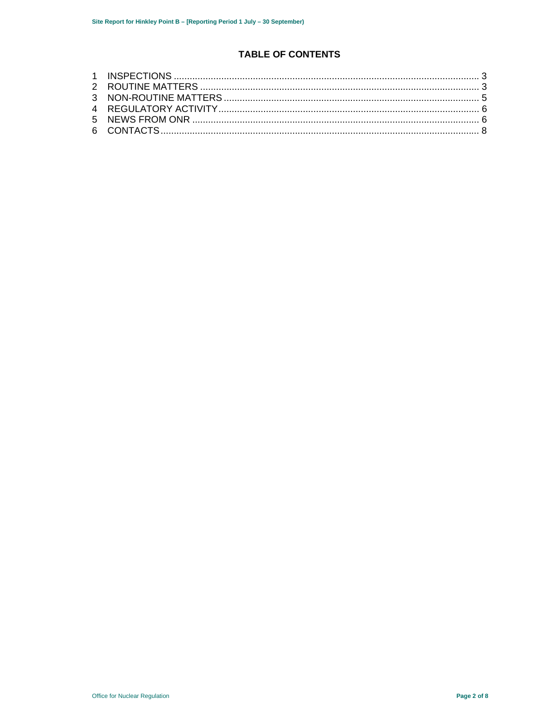# **TABLE OF CONTENTS**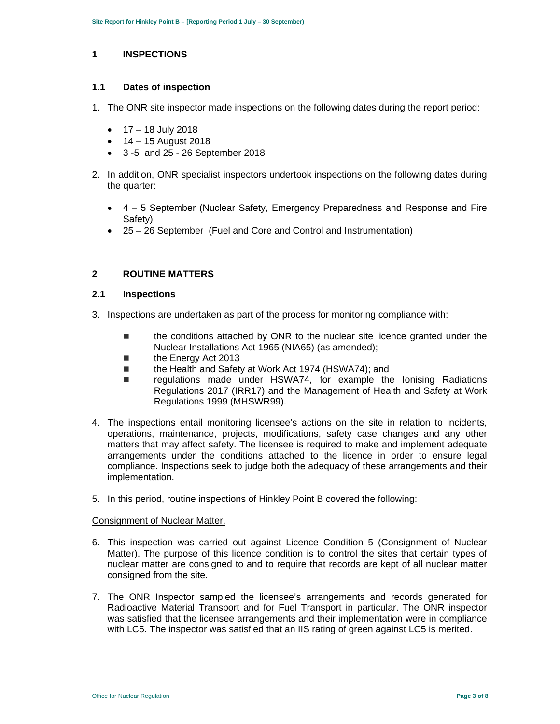#### **1 INSPECTIONS**

## **1.1 Dates of inspection**

- 1. The ONR site inspector made inspections on the following dates during the report period:
	- $\bullet$  17 18 July 2018
	- $-14 15$  August 2018
	- 3 -5 and 25 26 September 2018
- 2. In addition, ONR specialist inspectors undertook inspections on the following dates during the quarter:
	- 4 5 September (Nuclear Safety, Emergency Preparedness and Response and Fire Safety)
	- 25 26 September (Fuel and Core and Control and Instrumentation)

# **2 ROUTINE MATTERS**

## **2.1 Inspections**

- 3. Inspections are undertaken as part of the process for monitoring compliance with:
	- **the conditions attached by ONR to the nuclear site licence granted under the** Nuclear Installations Act 1965 (NIA65) (as amended);
	- **the Energy Act 2013**
	- the Health and Safety at Work Act 1974 (HSWA74); and
	- regulations made under HSWA74, for example the lonising Radiations Regulations 2017 (IRR17) and the Management of Health and Safety at Work Regulations 1999 (MHSWR99).
- operations, maintenance, projects, modifications, safety case changes and any other 4. The inspections entail monitoring licensee's actions on the site in relation to incidents, matters that may affect safety. The licensee is required to make and implement adequate arrangements under the conditions attached to the licence in order to ensure legal compliance. Inspections seek to judge both the adequacy of these arrangements and their implementation.
- 5. In this period, routine inspections of Hinkley Point B covered the following:

## Consignment of Nuclear Matter.

- 6. This inspection was carried out against Licence Condition 5 (Consignment of Nuclear Matter). The purpose of this licence condition is to control the sites that certain types of nuclear matter are consigned to and to require that records are kept of all nuclear matter consigned from the site.
- 7. The ONR Inspector sampled the licensee's arrangements and records generated for Radioactive Material Transport and for Fuel Transport in particular. The ONR inspector was satisfied that the licensee arrangements and their implementation were in compliance with LC5. The inspector was satisfied that an IIS rating of green against LC5 is merited.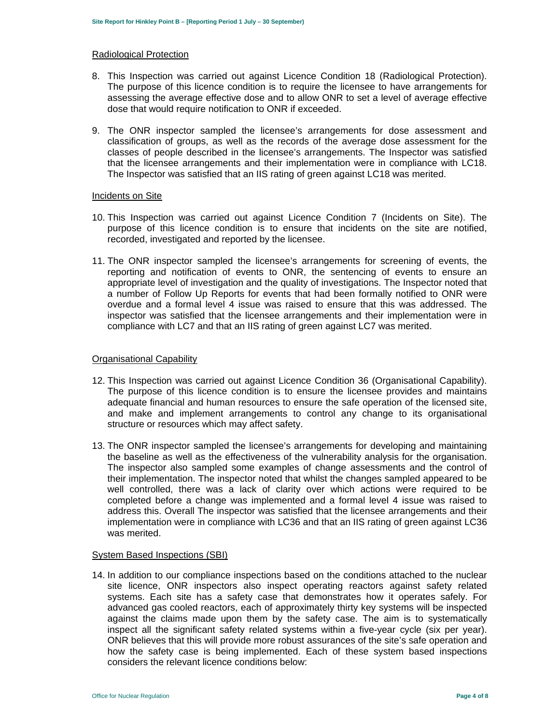#### Radiological Protection

- 8. This Inspection was carried out against Licence Condition 18 (Radiological Protection). The purpose of this licence condition is to require the licensee to have arrangements for assessing the average effective dose and to allow ONR to set a level of average effective dose that would require notification to ONR if exceeded.
- 9. The ONR inspector sampled the licensee's arrangements for dose assessment and classification of groups, as well as the records of the average dose assessment for the classes of people described in the licensee's arrangements. The Inspector was satisfied that the licensee arrangements and their implementation were in compliance with LC18. The Inspector was satisfied that an IIS rating of green against LC18 was merited.

#### Incidents on Site

- 10. This Inspection was carried out against Licence Condition 7 (Incidents on Site). The purpose of this licence condition is to ensure that incidents on the site are notified, recorded, investigated and reported by the licensee.
- compliance with LC7 and that an IIS rating of green against LC7 was merited. 11. The ONR inspector sampled the licensee's arrangements for screening of events, the reporting and notification of events to ONR, the sentencing of events to ensure an appropriate level of investigation and the quality of investigations. The Inspector noted that a number of Follow Up Reports for events that had been formally notified to ONR were overdue and a formal level 4 issue was raised to ensure that this was addressed. The inspector was satisfied that the licensee arrangements and their implementation were in

#### Organisational Capability

- and make and implement arrangements to control any change to its organisational 12. This Inspection was carried out against Licence Condition 36 (Organisational Capability). The purpose of this licence condition is to ensure the licensee provides and maintains adequate financial and human resources to ensure the safe operation of the licensed site, structure or resources which may affect safety.
- 13. The ONR inspector sampled the licensee's arrangements for developing and maintaining the baseline as well as the effectiveness of the vulnerability analysis for the organisation. The inspector also sampled some examples of change assessments and the control of their implementation. The inspector noted that whilst the changes sampled appeared to be well controlled, there was a lack of clarity over which actions were required to be completed before a change was implemented and a formal level 4 issue was raised to address this. Overall The inspector was satisfied that the licensee arrangements and their implementation were in compliance with LC36 and that an IIS rating of green against LC36 was merited.

#### System Based Inspections (SBI)

 systems. Each site has a safety case that demonstrates how it operates safely. For ONR believes that this will provide more robust assurances of the site's safe operation and 14. In addition to our compliance inspections based on the conditions attached to the nuclear site licence, ONR inspectors also inspect operating reactors against safety related advanced gas cooled reactors, each of approximately thirty key systems will be inspected against the claims made upon them by the safety case. The aim is to systematically inspect all the significant safety related systems within a five-year cycle (six per year). how the safety case is being implemented. Each of these system based inspections considers the relevant licence conditions below: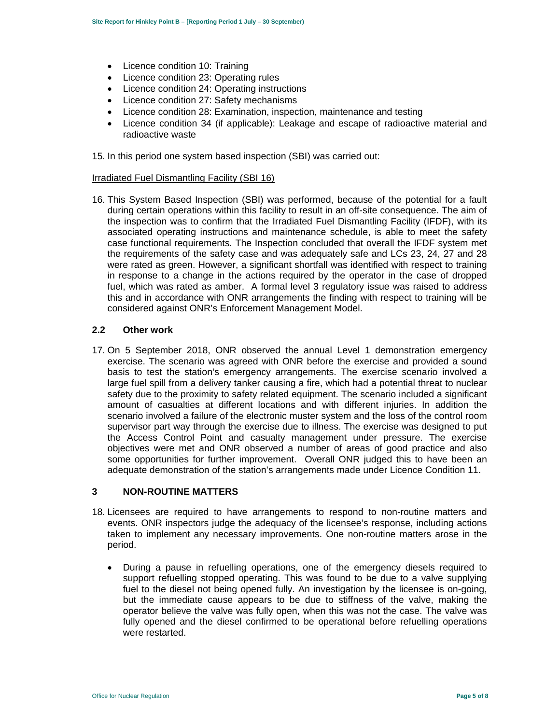- Licence condition 10: Training
- Licence condition 23: Operating rules
- Licence condition 24: Operating instructions
- Licence condition 27: Safety mechanisms
- Licence condition 28: Examination, inspection, maintenance and testing
- Licence condition 34 (if applicable): Leakage and escape of radioactive material and radioactive waste
- 15. In this period one system based inspection (SBI) was carried out:

## Irradiated Fuel Dismantling Facility (SBI 16)

16. This System Based Inspection (SBI) was performed, because of the potential for a fault during certain operations within this facility to result in an off-site consequence. The aim of the inspection was to confirm that the Irradiated Fuel Dismantling Facility (IFDF), with its associated operating instructions and maintenance schedule, is able to meet the safety case functional requirements. The Inspection concluded that overall the IFDF system met the requirements of the safety case and was adequately safe and LCs 23, 24, 27 and 28 were rated as green. However, a significant shortfall was identified with respect to training in response to a change in the actions required by the operator in the case of dropped fuel, which was rated as amber. A formal level 3 regulatory issue was raised to address this and in accordance with ONR arrangements the finding with respect to training will be considered against ONR's Enforcement Management Model.

# **2.2 Other work**

 basis to test the station's emergency arrangements. The exercise scenario involved a 17. On 5 September 2018, ONR observed the annual Level 1 demonstration emergency exercise. The scenario was agreed with ONR before the exercise and provided a sound large fuel spill from a delivery tanker causing a fire, which had a potential threat to nuclear safety due to the proximity to safety related equipment. The scenario included a significant amount of casualties at different locations and with different injuries. In addition the scenario involved a failure of the electronic muster system and the loss of the control room supervisor part way through the exercise due to illness. The exercise was designed to put the Access Control Point and casualty management under pressure. The exercise objectives were met and ONR observed a number of areas of good practice and also some opportunities for further improvement. Overall ONR judged this to have been an adequate demonstration of the station's arrangements made under Licence Condition 11.

#### **3 NON-ROUTINE MATTERS**

- 18. Licensees are required to have arrangements to respond to non-routine matters and events. ONR inspectors judge the adequacy of the licensee's response, including actions taken to implement any necessary improvements. One non-routine matters arose in the period.
	- but the immediate cause appears to be due to stiffness of the valve, making the operator believe the valve was fully open, when this was not the case. The valve was During a pause in refuelling operations, one of the emergency diesels required to support refuelling stopped operating. This was found to be due to a valve supplying fuel to the diesel not being opened fully. An investigation by the licensee is on-going, fully opened and the diesel confirmed to be operational before refuelling operations were restarted.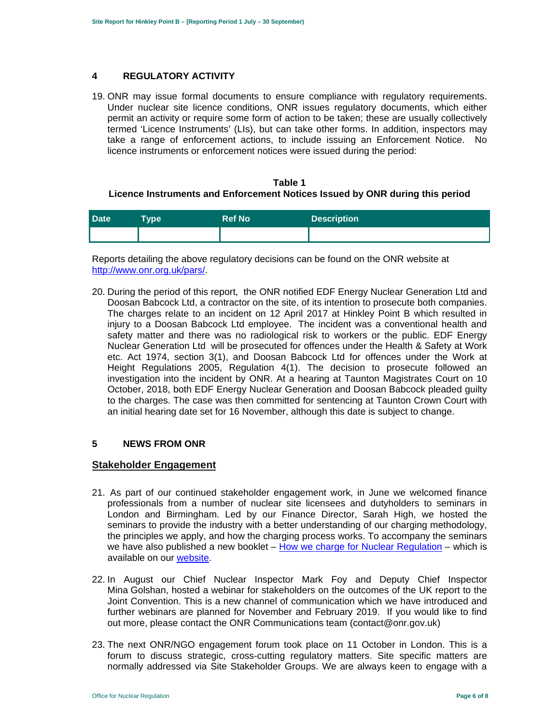#### **4 REGULATORY ACTIVITY**

19. ONR may issue formal documents to ensure compliance with regulatory requirements. Under nuclear site licence conditions, ONR issues regulatory documents, which either permit an activity or require some form of action to be taken; these are usually collectively termed 'Licence Instruments' (LIs), but can take other forms. In addition, inspectors may take a range of enforcement actions, to include issuing an Enforcement Notice. No licence instruments or enforcement notices were issued during the period:

#### **Table 1 Licence Instruments and Enforcement Notices Issued by ONR during this period**

| <b>Date</b> | Type | <b>Ref No</b> | <b>Description</b> |
|-------------|------|---------------|--------------------|
|             |      |               |                    |

Reports detailing the above regulatory decisions can be found on the ONR website at <http://www.onr.org.uk/pars>/.

20. During the period of this report, the ONR notified EDF Energy Nuclear Generation Ltd and Doosan Babcock Ltd, a contractor on the site, of its intention to prosecute both companies. The charges relate to an incident on 12 April 2017 at Hinkley Point B which resulted in injury to a Doosan Babcock Ltd employee. The incident was a conventional health and safety matter and there was no radiological risk to workers or the public. EDF Energy Nuclear Generation Ltd will be prosecuted for offences under the Health & Safety at Work etc. Act 1974, section 3(1), and Doosan Babcock Ltd for offences under the Work at Height Regulations 2005, Regulation 4(1). The decision to prosecute followed an investigation into the incident by ONR. At a hearing at Taunton Magistrates Court on 10 October, 2018, both EDF Energy Nuclear Generation and Doosan Babcock pleaded guilty to the charges. The case was then committed for sentencing at Taunton Crown Court with an initial hearing date set for 16 November, although this date is subject to change.

#### **5 NEWS FROM ONR**

## **Stakeholder Engagement**

- 21. As part of our continued stakeholder engagement work, in June we welcomed finance professionals from a number of nuclear site licensees and dutyholders to seminars in London and Birmingham. Led by our Finance Director, Sarah High, we hosted the seminars to provide the industry with a better understanding of our charging methodology, the principles we apply, and how the charging process works. To accompany the seminars we have also published a new booklet  $-$  How we charge for Nuclear Regulation – which is available on our website.
- 22. In August our Chief Nuclear Inspector Mark Foy and Deputy Chief Inspector Mina Golshan, hosted a webinar for stakeholders on the outcomes of the UK report to the Joint Convention. This is a new channel of communication which we have introduced and further webinars are planned for November and February 2019. If you would like to find out more, please contact the ONR Communications team (contact@onr.gov.uk)
- normally addressed via Site Stakeholder Groups. We are always keen to engage with a 23. The next ONR/NGO engagement forum took place on 11 October in London. This is a forum to discuss strategic, cross-cutting regulatory matters. Site specific matters are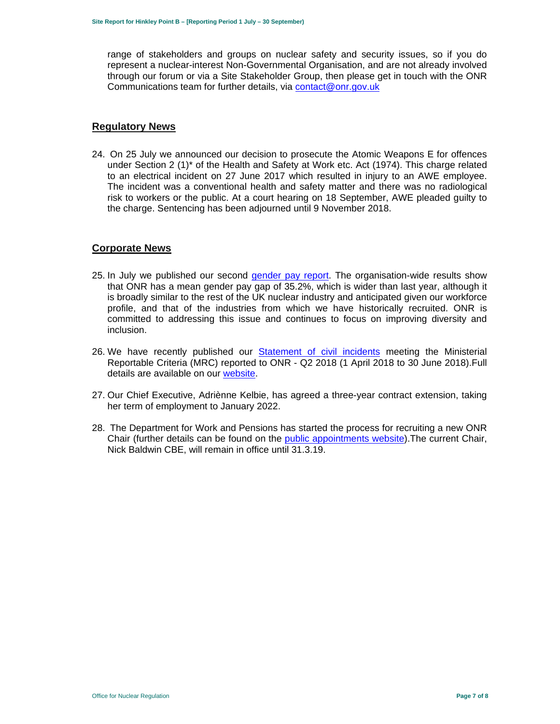range of stakeholders and groups on nuclear safety and security issues, so if you do represent a nuclear-interest Non-Governmental Organisation, and are not already involved through our forum or via a Site Stakeholder Group, then please get in touch with the ONR Communications team for further details, via contact@onr.gov.uk

# **Regulatory News**

24. On 25 July we announced our decision to prosecute the Atomic Weapons E for offences under Section 2 (1)\* of the Health and Safety at Work etc. Act (1974). This charge related to an electrical incident on 27 June 2017 which resulted in injury to an AWE employee. The incident was a conventional health and safety matter and there was no radiological risk to workers or the public. At a court hearing on 18 September, AWE pleaded guilty to the charge. Sentencing has been adjourned until 9 November 2018.

# **Corporate News**

- profile, and that of the industries from which we have historically recruited. ONR is 25. In July we published our second gender pay report. The organisation-wide results show that ONR has a mean gender pay gap of 35.2%, which is wider than last year, although it is broadly similar to the rest of the UK nuclear industry and anticipated given our workforce committed to addressing this issue and continues to focus on improving diversity and inclusion.
- 26. We have recently published our Statement of civil incidents meeting the Ministerial Reportable Criteria (MRC) reported to ONR - Q2 2018 (1 April 2018 to 30 June 2018).Full details are available on our website.
- 27. Our Chief Executive, Adriènne Kelbie, has agreed a three-year contract extension, taking her term of employment to January 2022.
- 28. The Department for Work and Pensions has started the process for recruiting a new ONR Chair (further details can be found on the public appointments website).The current Chair, Nick Baldwin CBE, will remain in office until 31.3.19.